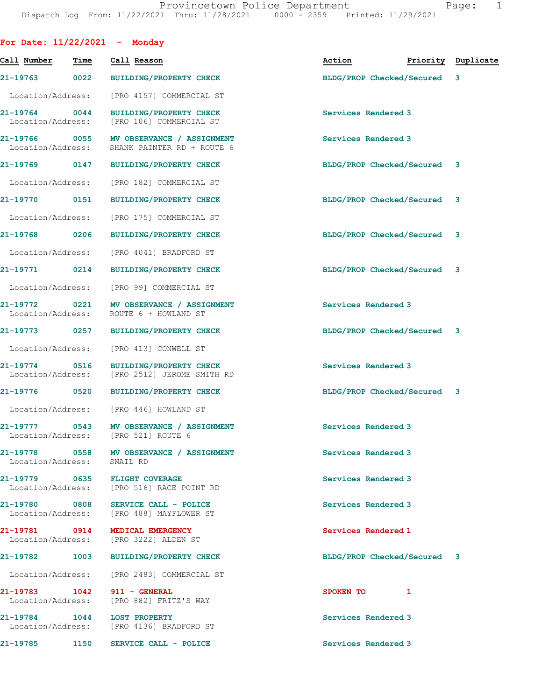|                                    |      | For Date: $11/22/2021$ - Monday                                                 |                             |   |                    |
|------------------------------------|------|---------------------------------------------------------------------------------|-----------------------------|---|--------------------|
| Call Number                        | Time | Call Reason                                                                     | Action                      |   | Priority Duplicate |
| 21-19763 0022                      |      | <b>BUILDING/PROPERTY CHECK</b>                                                  | BLDG/PROP Checked/Secured   |   | 3                  |
| Location/Address:                  |      | [PRO 4157] COMMERCIAL ST                                                        |                             |   |                    |
| 21-19764 0044<br>Location/Address: |      | <b>BUILDING/PROPERTY CHECK</b><br>[PRO 106] COMMERCIAL ST                       | Services Rendered 3         |   |                    |
| 21-19766 0055                      |      | MV OBSERVANCE / ASSIGNMENT<br>Location/Address: SHANK PAINTER RD + ROUTE 6      | Services Rendered 3         |   |                    |
| 21-19769 0147                      |      | <b>BUILDING/PROPERTY CHECK</b>                                                  | BLDG/PROP Checked/Secured 3 |   |                    |
| Location/Address:                  |      | [PRO 182] COMMERCIAL ST                                                         |                             |   |                    |
| 21-19770 0151                      |      | <b>BUILDING/PROPERTY CHECK</b>                                                  | BLDG/PROP Checked/Secured   |   | 3                  |
| Location/Address:                  |      | [PRO 175] COMMERCIAL ST                                                         |                             |   |                    |
| 21-19768 0206                      |      | <b>BUILDING/PROPERTY CHECK</b>                                                  | BLDG/PROP Checked/Secured 3 |   |                    |
| Location/Address:                  |      | [PRO 4041] BRADFORD ST                                                          |                             |   |                    |
| 21-19771 0214                      |      | <b>BUILDING/PROPERTY CHECK</b>                                                  | BLDG/PROP Checked/Secured 3 |   |                    |
| Location/Address:                  |      | [PRO 99] COMMERCIAL ST                                                          |                             |   |                    |
| 21-19772 0221<br>Location/Address: |      | MV OBSERVANCE / ASSIGNMENT<br>ROUTE 6 + HOWLAND ST                              | Services Rendered 3         |   |                    |
| 21-19773 0257                      |      | <b>BUILDING/PROPERTY CHECK</b>                                                  | BLDG/PROP Checked/Secured 3 |   |                    |
| Location/Address:                  |      | [PRO 413] CONWELL ST                                                            |                             |   |                    |
| 21-19774 0516<br>Location/Address: |      | BUILDING/PROPERTY CHECK<br>[PRO 2512] JEROME SMITH RD                           | Services Rendered 3         |   |                    |
|                                    |      | 21-19776 0520 BUILDING/PROPERTY CHECK                                           | BLDG/PROP Checked/Secured 3 |   |                    |
|                                    |      | Location/Address: [PRO 446] HOWLAND ST                                          |                             |   |                    |
| 21-19777 0543<br>Location/Address: |      | MV OBSERVANCE / ASSIGNMENT<br>[PRO 521] ROUTE 6                                 | Services Rendered 3         |   |                    |
| Location/Address:                  |      | 21-19778 0558 MV OBSERVANCE / ASSIGNMENT<br>SNAIL RD                            | Services Rendered 3         |   |                    |
|                                    |      | 21-19779 0635 FLIGHT COVERAGE<br>Location/Address: [PRO 516] RACE POINT RD      | Services Rendered 3         |   |                    |
|                                    |      | 21-19780 0808 SERVICE CALL - POLICE<br>Location/Address: [PRO 488] MAYFLOWER ST | Services Rendered 3         |   |                    |
|                                    |      | 21-19781 0914 MEDICAL EMERGENCY<br>Location/Address: [PRO 3222] ALDEN ST        | Services Rendered 1         |   |                    |
|                                    |      | 21-19782 1003 BUILDING/PROPERTY CHECK                                           | BLDG/PROP Checked/Secured 3 |   |                    |
|                                    |      | Location/Address: [PRO 2483] COMMERCIAL ST                                      |                             |   |                    |
|                                    |      | 21-19783 1042 911 - GENERAL<br>Location/Address: [PRO 882] FRITZ'S WAY          | SPOKEN TO                   | 1 |                    |
|                                    |      | 21-19784 1044 LOST PROPERTY<br>Location/Address: [PRO 4136] BRADFORD ST         | Services Rendered 3         |   |                    |
|                                    |      | 21-19785 1150 SERVICE CALL - POLICE                                             | Services Rendered 3         |   |                    |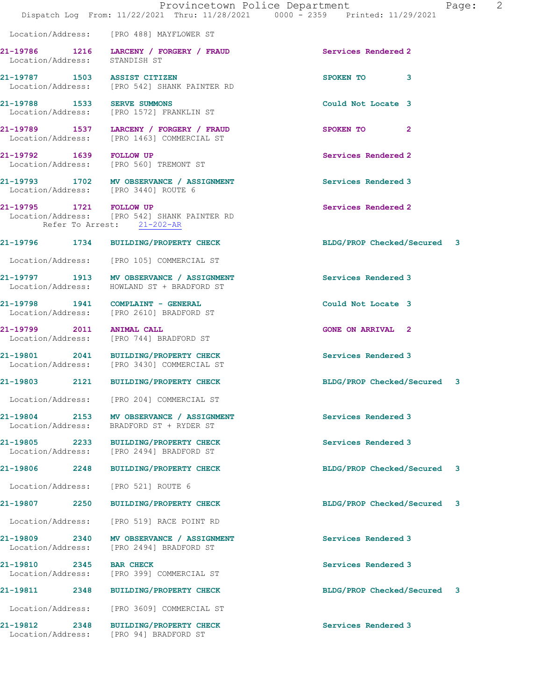|                                                       |                                                                                        | Provincetown Police Department<br>Page: 2<br>Dispatch Log From: 11/22/2021 Thru: 11/28/2021 0000 - 2359 Printed: 11/29/2021 |  |
|-------------------------------------------------------|----------------------------------------------------------------------------------------|-----------------------------------------------------------------------------------------------------------------------------|--|
|                                                       | Location/Address: [PRO 488] MAYFLOWER ST                                               |                                                                                                                             |  |
| Location/Address: STANDISH ST                         | 21-19786 1216 LARCENY / FORGERY / FRAUD                                                | Services Rendered 2                                                                                                         |  |
| 21-19787 1503 ASSIST CITIZEN                          | Location/Address: [PRO 542] SHANK PAINTER RD                                           | SPOKEN TO 3                                                                                                                 |  |
| 21-19788 1533 SERVE SUMMONS                           | Location/Address: [PRO 1572] FRANKLIN ST                                               | Could Not Locate 3                                                                                                          |  |
|                                                       | 21-19789 1537 LARCENY / FORGERY / FRAUD<br>Location/Address: [PRO 1463] COMMERCIAL ST  | SPOKEN TO 2                                                                                                                 |  |
|                                                       | 21-19792 1639 FOLLOW UP<br>Location/Address: [PRO 560] TREMONT ST                      | Services Rendered 2                                                                                                         |  |
|                                                       | 21-19793 1702 MV OBSERVANCE / ASSIGNMENT<br>Location/Address: [PRO 3440] ROUTE 6       | Services Rendered 3                                                                                                         |  |
| 21-19795 1721 FOLLOW UP<br>Refer To Arrest: 21-202-AR | Location/Address: [PRO 542] SHANK PAINTER RD                                           | Services Rendered 2                                                                                                         |  |
|                                                       | 21-19796 1734 BUILDING/PROPERTY CHECK                                                  | BLDG/PROP Checked/Secured 3                                                                                                 |  |
|                                                       | Location/Address: [PRO 105] COMMERCIAL ST                                              |                                                                                                                             |  |
|                                                       | 21-19797 1913 MV OBSERVANCE / ASSIGNMENT<br>Location/Address: HOWLAND ST + BRADFORD ST | Services Rendered 3                                                                                                         |  |
|                                                       | 21-19798 1941 COMPLAINT - GENERAL<br>Location/Address: [PRO 2610] BRADFORD ST          | Could Not Locate 3                                                                                                          |  |
|                                                       | 21-19799 2011 ANIMAL CALL<br>Location/Address: [PRO 744] BRADFORD ST                   | <b>GONE ON ARRIVAL 2</b>                                                                                                    |  |
|                                                       | 21-19801 2041 BUILDING/PROPERTY CHECK<br>Location/Address: [PRO 3430] COMMERCIAL ST    | Services Rendered 3                                                                                                         |  |
|                                                       | 21-19803 2121 BUILDING/PROPERTY CHECK                                                  | BLDG/PROP Checked/Secured 3                                                                                                 |  |
| Location/Address:                                     | [PRO 204] COMMERCIAL ST                                                                |                                                                                                                             |  |
| 21-19804 2153<br>Location/Address:                    | MV OBSERVANCE / ASSIGNMENT<br>BRADFORD ST + RYDER ST                                   | Services Rendered 3                                                                                                         |  |
|                                                       | 21-19805 2233 BUILDING/PROPERTY CHECK<br>Location/Address: [PRO 2494] BRADFORD ST      | Services Rendered 3                                                                                                         |  |
| 21-19806 2248                                         | <b>BUILDING/PROPERTY CHECK</b>                                                         | BLDG/PROP Checked/Secured 3                                                                                                 |  |
| Location/Address:                                     | [PRO 521] ROUTE 6                                                                      |                                                                                                                             |  |
| 21-19807 2250                                         | <b>BUILDING/PROPERTY CHECK</b>                                                         | BLDG/PROP Checked/Secured 3                                                                                                 |  |
|                                                       | Location/Address: [PRO 519] RACE POINT RD                                              |                                                                                                                             |  |
|                                                       | 21-19809 2340 MV OBSERVANCE / ASSIGNMENT<br>Location/Address: [PRO 2494] BRADFORD ST   | Services Rendered 3                                                                                                         |  |
| 21-19810 2345                                         | <b>BAR CHECK</b><br>Location/Address: [PRO 399] COMMERCIAL ST                          | Services Rendered 3                                                                                                         |  |
| 21-19811 2348                                         | <b>BUILDING/PROPERTY CHECK</b>                                                         | BLDG/PROP Checked/Secured 3                                                                                                 |  |
|                                                       | Location/Address: [PRO 3609] COMMERCIAL ST                                             |                                                                                                                             |  |
| Location/Address:                                     | 21-19812 2348 BUILDING/PROPERTY CHECK<br>[PRO 94] BRADFORD ST                          | Services Rendered 3                                                                                                         |  |
|                                                       |                                                                                        |                                                                                                                             |  |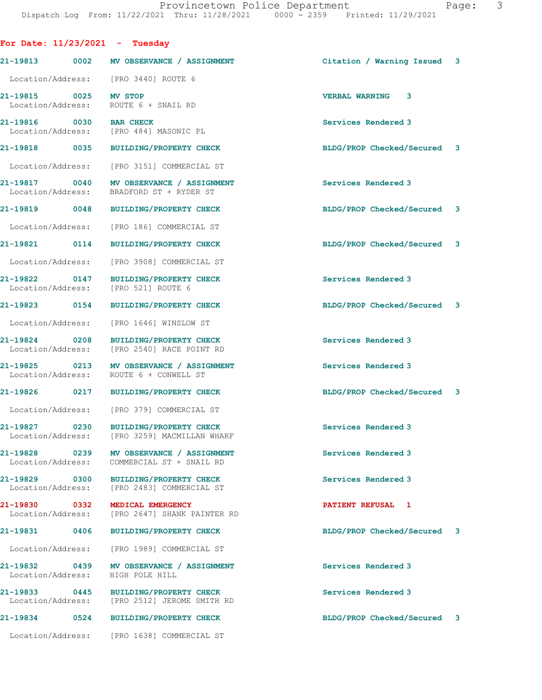| For Date: $11/23/2021$ - Tuesday             |                                                                                       |                             |  |
|----------------------------------------------|---------------------------------------------------------------------------------------|-----------------------------|--|
|                                              | 21-19813 0002 MV OBSERVANCE / ASSIGNMENT                                              | Citation / Warning Issued 3 |  |
| Location/Address:                            | [PRO 3440] ROUTE 6                                                                    |                             |  |
| 21-19815 0025<br>Location/Address:           | MV STOP<br>ROUTE 6 + SNAIL RD                                                         | <b>VERBAL WARNING 3</b>     |  |
| 21-19816 0030 BAR CHECK<br>Location/Address: | [PRO 484] MASONIC PL                                                                  | Services Rendered 3         |  |
| 21-19818 0035                                | BUILDING/PROPERTY CHECK                                                               | BLDG/PROP Checked/Secured 3 |  |
| Location/Address:                            | [PRO 3151] COMMERCIAL ST                                                              |                             |  |
| 21-19817 0040<br>Location/Address:           | MV OBSERVANCE / ASSIGNMENT<br>BRADFORD ST + RYDER ST                                  | Services Rendered 3         |  |
| 21-19819 0048                                | <b>BUILDING/PROPERTY CHECK</b>                                                        | BLDG/PROP Checked/Secured 3 |  |
| Location/Address:                            | [PRO 186] COMMERCIAL ST                                                               |                             |  |
| 21-19821 0114                                | <b>BUILDING/PROPERTY CHECK</b>                                                        | BLDG/PROP Checked/Secured 3 |  |
| Location/Address:                            | [PRO 3908] COMMERCIAL ST                                                              |                             |  |
| 21-19822 0147<br>Location/Address:           | <b>BUILDING/PROPERTY CHECK</b><br>[PRO 521] ROUTE 6                                   | Services Rendered 3         |  |
| 21-19823 0154                                | <b>BUILDING/PROPERTY CHECK</b>                                                        | BLDG/PROP Checked/Secured 3 |  |
| Location/Address:                            | [PRO 1646] WINSLOW ST                                                                 |                             |  |
| 21-19824 0208<br>Location/Address:           | <b>BUILDING/PROPERTY CHECK</b><br>[PRO 2540] RACE POINT RD                            | Services Rendered 3         |  |
| 21-19825 0213<br>Location/Address:           | MV OBSERVANCE / ASSIGNMENT<br>ROUTE 6 + CONWELL ST                                    | Services Rendered 3         |  |
|                                              | 21-19826 0217 BUILDING/PROPERTY CHECK                                                 | BLDG/PROP Checked/Secured 3 |  |
|                                              | Location/Address: [PRO 379] COMMERCIAL ST                                             |                             |  |
| 0230<br>21-19827<br>Location/Address:        | <b>BUILDING/PROPERTY CHECK</b><br>[PRO 3259] MACMILLAN WHARF                          | Services Rendered 3         |  |
| 21-19828 0239<br>Location/Address:           | MV OBSERVANCE / ASSIGNMENT<br>COMMERCIAL ST + SNAIL RD                                | Services Rendered 3         |  |
| 21-19829 0300<br>Location/Address:           | BUILDING/PROPERTY CHECK<br>[PRO 2483] COMMERCIAL ST                                   | Services Rendered 3         |  |
| 21-19830 0332<br>Location/Address:           | MEDICAL EMERGENCY<br>[PRO 2647] SHANK PAINTER RD                                      | PATIENT REFUSAL 1           |  |
| 21-19831 0406                                | BUILDING/PROPERTY CHECK                                                               | BLDG/PROP Checked/Secured 3 |  |
| Location/Address:                            | [PRO 1989] COMMERCIAL ST                                                              |                             |  |
| 21-19832 0439<br>Location/Address:           | MV OBSERVANCE / ASSIGNMENT<br>HIGH POLE HILL                                          | Services Rendered 3         |  |
|                                              | 21-19833 0445 BUILDING/PROPERTY CHECK<br>Location/Address: [PRO 2512] JEROME SMITH RD | Services Rendered 3         |  |
|                                              | 21-19834 0524 BUILDING/PROPERTY CHECK                                                 | BLDG/PROP Checked/Secured 3 |  |
|                                              | Location/Address: [PRO 1638] COMMERCIAL ST                                            |                             |  |
|                                              |                                                                                       |                             |  |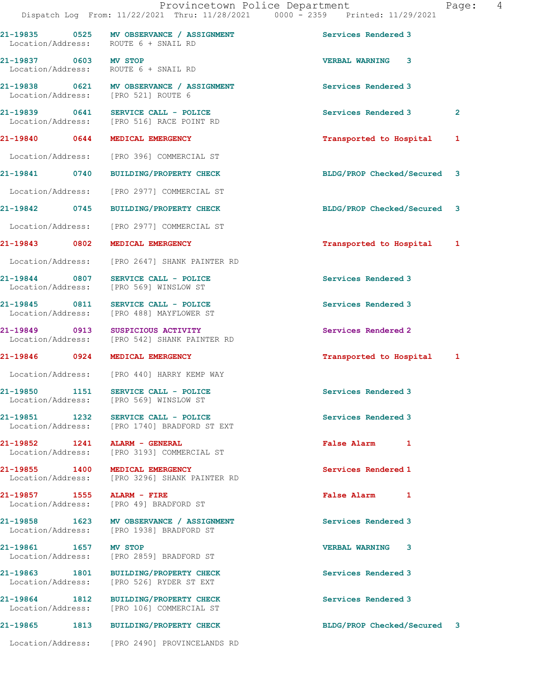|                                    | 21-19835 0525 MV OBSERVANCE / ASSIGNMENT                                             | Services Rendered 3                |              |
|------------------------------------|--------------------------------------------------------------------------------------|------------------------------------|--------------|
|                                    | Location/Address: ROUTE 6 + SNAIL RD                                                 |                                    |              |
| 21-19837 0603 MV STOP              | Location/Address: ROUTE 6 + SNAIL RD                                                 | <b>VERBAL WARNING 3</b>            |              |
|                                    | 21-19838 0621 MV OBSERVANCE / ASSIGNMENT<br>Location/Address: [PRO 521] ROUTE 6      | Services Rendered 3                |              |
|                                    | 21-19839 0641 SERVICE CALL - POLICE<br>Location/Address: [PRO 516] RACE POINT RD     | Services Rendered 3                | $\mathbf{2}$ |
|                                    | 21-19840 0644 MEDICAL EMERGENCY                                                      | Transported to Hospital            | 1            |
|                                    | Location/Address: [PRO 396] COMMERCIAL ST                                            |                                    |              |
| 21-19841 0740                      | <b>BUILDING/PROPERTY CHECK</b>                                                       | BLDG/PROP Checked/Secured 3        |              |
|                                    | Location/Address: [PRO 2977] COMMERCIAL ST                                           |                                    |              |
| 21-19842 0745                      | <b>BUILDING/PROPERTY CHECK</b>                                                       | BLDG/PROP Checked/Secured 3        |              |
|                                    | Location/Address: [PRO 2977] COMMERCIAL ST                                           |                                    |              |
|                                    | 21-19843 0802 MEDICAL EMERGENCY                                                      | Transported to Hospital            | 1            |
|                                    | Location/Address: [PRO 2647] SHANK PAINTER RD                                        |                                    |              |
|                                    | 21-19844 0807 SERVICE CALL - POLICE<br>Location/Address: [PRO 569] WINSLOW ST        | Services Rendered 3                |              |
|                                    | 21-19845 0811 SERVICE CALL - POLICE<br>Location/Address: [PRO 488] MAYFLOWER ST      | Services Rendered 3                |              |
|                                    | 21-19849 0913 SUSPICIOUS ACTIVITY                                                    | Services Rendered 2                |              |
|                                    | Location/Address: [PRO 542] SHANK PAINTER RD                                         |                                    |              |
| 21-19846 0924                      | MEDICAL EMERGENCY                                                                    | Transported to Hospital            | 1            |
|                                    | Location/Address: [PRO 440] HARRY KEMP WAY                                           |                                    |              |
|                                    | 21-19850 1151 SERVICE CALL - POLICE<br>Location/Address: [PRO 569] WINSLOW ST        | Services Rendered 3                |              |
| 21-19851 1232<br>Location/Address: | SERVICE CALL - POLICE<br>[PRO 1740] BRADFORD ST EXT                                  | Services Rendered 3                |              |
|                                    | Location/Address: [PRO 3193] COMMERCIAL ST                                           | <b>False Alarm</b><br>$\mathbf{1}$ |              |
|                                    | 21-19855 1400 MEDICAL EMERGENCY<br>Location/Address: [PRO 3296] SHANK PAINTER RD     | Services Rendered 1                |              |
| 21-19857 1555 ALARM - FIRE         | Location/Address: [PRO 49] BRADFORD ST                                               | False Alarm 1                      |              |
|                                    | 21-19858 1623 MV OBSERVANCE / ASSIGNMENT<br>Location/Address: [PRO 1938] BRADFORD ST | Services Rendered 3                |              |
| 21-19861 1657 MV STOP              | Location/Address: [PRO 2859] BRADFORD ST                                             | <b>VERBAL WARNING 3</b>            |              |
|                                    | 21-19863 1801 BUILDING/PROPERTY CHECK<br>Location/Address: [PRO 526] RYDER ST EXT    | Services Rendered 3                |              |
|                                    | 21-19864 1812 BUILDING/PROPERTY CHECK<br>Location/Address: [PRO 106] COMMERCIAL ST   | Services Rendered 3                |              |
|                                    | 21-19865 1813 BUILDING/PROPERTY CHECK                                                | BLDG/PROP Checked/Secured 3        |              |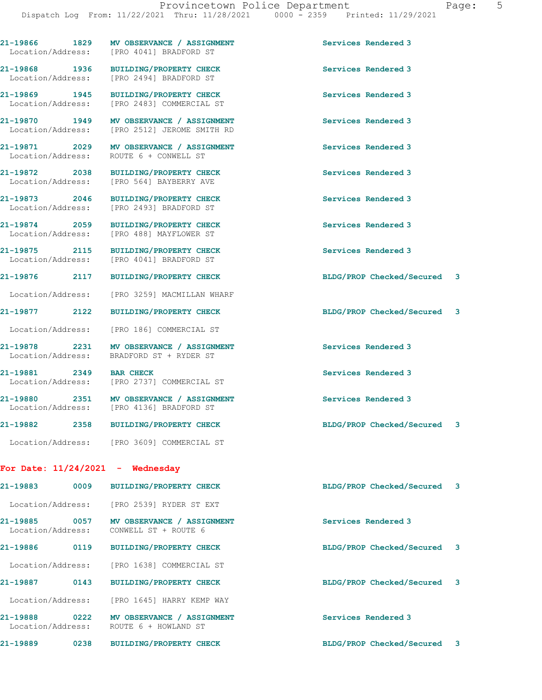|  | raqe: |  |  |
|--|-------|--|--|
|  |       |  |  |

| 21-19866 1829                      |      | MV OBSERVANCE / ASSIGNMENT<br>Location/Address: [PRO 4041] BRADFORD ST     | Services Rendered 3         |  |
|------------------------------------|------|----------------------------------------------------------------------------|-----------------------------|--|
| 21-19868 1936                      |      | <b>BUILDING/PROPERTY CHECK</b><br>Location/Address: [PRO 2494] BRADFORD ST | Services Rendered 3         |  |
| 21-19869 1945<br>Location/Address: |      | <b>BUILDING/PROPERTY CHECK</b><br>[PRO 2483] COMMERCIAL ST                 | Services Rendered 3         |  |
| 21-19870 1949                      |      | MV OBSERVANCE / ASSIGNMENT<br>Location/Address: [PRO 2512] JEROME SMITH RD | Services Rendered 3         |  |
| 21-19871 2029<br>Location/Address: |      | MV OBSERVANCE / ASSIGNMENT<br>ROUTE 6 + CONWELL ST                         | Services Rendered 3         |  |
| 21-19872 2038<br>Location/Address: |      | <b>BUILDING/PROPERTY CHECK</b><br>[PRO 564] BAYBERRY AVE                   | Services Rendered 3         |  |
| 21-19873 2046<br>Location/Address: |      | <b>BUILDING/PROPERTY CHECK</b><br>[PRO 2493] BRADFORD ST                   | Services Rendered 3         |  |
| 21-19874 2059<br>Location/Address: |      | <b>BUILDING/PROPERTY CHECK</b><br>[PRO 488] MAYFLOWER ST                   | Services Rendered 3         |  |
| 21-19875 2115<br>Location/Address: |      | <b>BUILDING/PROPERTY CHECK</b><br>[PRO 4041] BRADFORD ST                   | Services Rendered 3         |  |
| 21-19876 2117                      |      | <b>BUILDING/PROPERTY CHECK</b>                                             | BLDG/PROP Checked/Secured 3 |  |
| Location/Address:                  |      | [PRO 3259] MACMILLAN WHARF                                                 |                             |  |
| 21-19877 2122                      |      | <b>BUILDING/PROPERTY CHECK</b>                                             | BLDG/PROP Checked/Secured 3 |  |
| Location/Address:                  |      | [PRO 186] COMMERCIAL ST                                                    |                             |  |
| 21-19878 2231<br>Location/Address: |      | MV OBSERVANCE / ASSIGNMENT<br>BRADFORD ST + RYDER ST                       | Services Rendered 3         |  |
| 21-19881 2349<br>Location/Address: |      | <b>BAR CHECK</b><br>[PRO 2737] COMMERCIAL ST                               | Services Rendered 3         |  |
| 21-19880 2351<br>Location/Address: |      | MV OBSERVANCE / ASSIGNMENT<br>[PRO 4136] BRADFORD ST                       | Services Rendered 3         |  |
| 21-19882 2358                      |      | <b>BUILDING/PROPERTY CHECK</b>                                             | BLDG/PROP Checked/Secured 3 |  |
|                                    |      | Location/Address: [PRO 3609] COMMERCIAL ST                                 |                             |  |
|                                    |      | For Date: $11/24/2021$ - Wednesday                                         |                             |  |
| 21-19883                           | 0009 | <b>BUILDING/PROPERTY CHECK</b>                                             | BLDG/PROP Checked/Secured 3 |  |
|                                    |      | Location/Address: [PRO 2539] RYDER ST EXT                                  |                             |  |
| 21-19885 0057<br>Location/Address: |      | MV OBSERVANCE / ASSIGNMENT<br>CONWELL ST + ROUTE 6                         | Services Rendered 3         |  |
| 21-19886 0119                      |      | <b>BUILDING/PROPERTY CHECK</b>                                             | BLDG/PROP Checked/Secured 3 |  |
|                                    |      | Location/Address: [PRO 1638] COMMERCIAL ST                                 |                             |  |
| 21-19887                           | 0143 | <b>BUILDING/PROPERTY CHECK</b>                                             | BLDG/PROP Checked/Secured 3 |  |
| Location/Address:                  |      | [PRO 1645] HARRY KEMP WAY                                                  |                             |  |
| Location/Address:                  |      | 21-19888 0222 MV OBSERVANCE / ASSIGNMENT<br>ROUTE 6 + HOWLAND ST           | Services Rendered 3         |  |
| 21-19889 0238                      |      | <b>BUILDING/PROPERTY CHECK</b>                                             | BLDG/PROP Checked/Secured 3 |  |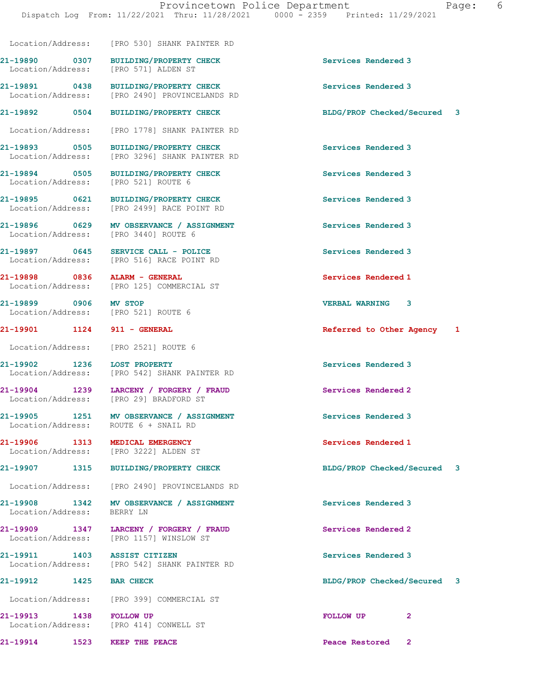Location/Address: [PRO 530] SHANK PAINTER RD

Location/Address:

Location/Address: [PRO 521] ROUTE 6

21-19899 0906 MV STOP VERBAL WARNING 3

Location/Address: [PRO 2521] ROUTE 6

Location/Address:

Location/Address:

21-19890 0307 BUILDING/PROPERTY CHECK Services Rendered 3<br>
Location/Address: [PRO 571] ALDEN ST

21-19891 0438 BUILDING/PROPERTY CHECK Services Rendered 3 Location/Address: [PRO 2490] PROVINCELANDS RD

Location/Address: [PRO 1778] SHANK PAINTER RD

21-19893 0505 BUILDING/PROPERTY CHECK Services Rendered 3 Location/Address: [PRO 3296] SHANK PAINTER RD

21-19894 0505 BUILDING/PROPERTY CHECK Services Rendered 3

21-19895 0621 BUILDING/PROPERTY CHECK Services Rendered 3 Location/Address: [PRO 2499] RACE POINT RD

21-19896 0629 MV OBSERVANCE / ASSIGNMENT Services Rendered 3 Location/Address: [PRO 3440] ROUTE 6

21-19897 0645 SERVICE CALL - POLICE SERVICE Services Rendered 3<br>
Location/Address: [PRO 516] RACE POINT RD [PRO 516] RACE POINT RD

21-19898 0836 ALARM - GENERAL Services Rendered 1 Location/Address: [PRO 125] COMMERCIAL ST

Location/Address: [PRO 521] ROUTE 6

21-19902 1236 LOST PROPERTY<br>
Location/Address: [PRO 542] SHANK PAINTER RD<br>
Services Rendered 3 [PRO 542] SHANK PAINTER RD

21-19904 1239 LARCENY / FORGERY / FRAUD Services Rendered 2 Location/Address: [PRO 29] BRADFORD ST

21-19905 1251 MV OBSERVANCE / ASSIGNMENT Services Rendered 3 Location/Address: ROUTE 6 + SNAIL RD

21-19906 1313 MEDICAL EMERGENCY Services Rendered 1 Section/Address: [PRO 3222] ALDEN ST

Location/Address: [PRO 2490] PROVINCELANDS RD

21-19908 1342 MV OBSERVANCE / ASSIGNMENT Services Rendered 3<br>
Location/Address: BERRY LN

21-19909 1347 LARCENY / FORGERY / FRAUD Services Rendered 2 Location/Address: [PRO 1157] WINSLOW ST

21-19911 1403 ASSIST CITIZEN Services Rendered 3 Location/Address: [PRO 542] SHANK PAINTER RD

Location/Address: [PRO 399] COMMERCIAL ST

Location/Address: [PRO 414] CONWELL ST

21-19892 0504 BUILDING/PROPERTY CHECK BLDG/PROP Checked/Secured 3

21-19901 1124 911 - GENERAL **Referred to Other Agency** 1

21-19907 1315 BUILDING/PROPERTY CHECK BLDG/PROP Checked/Secured 3

21-19912 1425 BAR CHECK BLDG/PROP Checked/Secured 3

21-19913 1438 FOLLOW UP FOLLOW UP 2

21-19914 1523 KEEP THE PEACE **Peace Restored** 2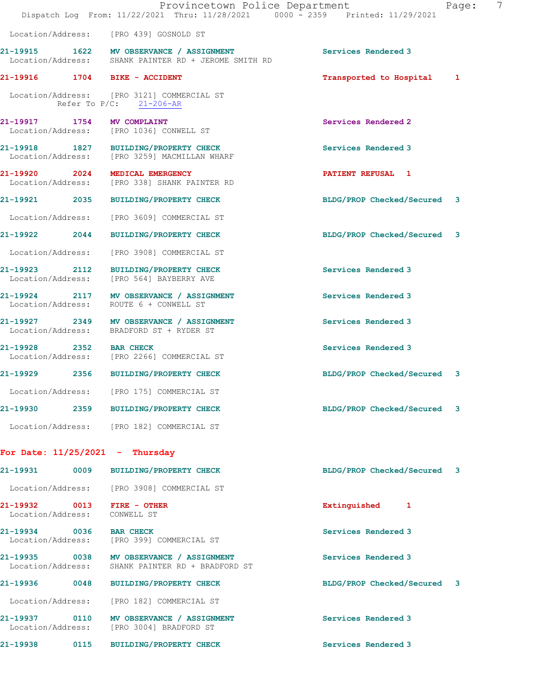|                                                 |      | Provincetown Police Department<br>Dispatch Log From: 11/22/2021 Thru: 11/28/2021 0000 - 2359 Printed: 11/29/2021 |                             | 7<br>Page: |
|-------------------------------------------------|------|------------------------------------------------------------------------------------------------------------------|-----------------------------|------------|
|                                                 |      | Location/Address: [PRO 439] GOSNOLD ST                                                                           |                             |            |
|                                                 |      | 21-19915 1622 MV OBSERVANCE / ASSIGNMENT<br>Location/Address: SHANK PAINTER RD + JEROME SMITH RD                 | Services Rendered 3         |            |
| 21-19916 1704 BIKE - ACCIDENT                   |      |                                                                                                                  | Transported to Hospital 1   |            |
|                                                 |      | Location/Address: [PRO 3121] COMMERCIAL ST<br>Refer To $P/C$ : 21-206-AR                                         |                             |            |
| 21-19917 1754 MV COMPLAINT                      |      | Location/Address: [PRO 1036] CONWELL ST                                                                          | Services Rendered 2         |            |
|                                                 |      | 21-19918 1827 BUILDING/PROPERTY CHECK<br>Location/Address: [PRO 3259] MACMILLAN WHARF                            | Services Rendered 3         |            |
|                                                 |      | 21-19920 2024 MEDICAL EMERGENCY<br>Location/Address: [PRO 338] SHANK PAINTER RD                                  | <b>PATIENT REFUSAL 1</b>    |            |
|                                                 |      | 21-19921 2035 BUILDING/PROPERTY CHECK                                                                            | BLDG/PROP Checked/Secured 3 |            |
|                                                 |      | Location/Address: [PRO 3609] COMMERCIAL ST                                                                       |                             |            |
|                                                 |      | 21-19922 2044 BUILDING/PROPERTY CHECK                                                                            | BLDG/PROP Checked/Secured 3 |            |
|                                                 |      | Location/Address: [PRO 3908] COMMERCIAL ST                                                                       |                             |            |
|                                                 |      | 21-19923 2112 BUILDING/PROPERTY CHECK<br>Location/Address: [PRO 564] BAYBERRY AVE                                | Services Rendered 3         |            |
|                                                 |      | 21-19924 2117 MV OBSERVANCE / ASSIGNMENT<br>Location/Address: ROUTE 6 + CONWELL ST                               | Services Rendered 3         |            |
|                                                 |      | 21-19927 2349 MV OBSERVANCE / ASSIGNMENT<br>Location/Address: BRADFORD ST + RYDER ST                             | Services Rendered 3         |            |
| 21-19928 2352 BAR CHECK                         |      | Location/Address: [PRO 2266] COMMERCIAL ST                                                                       | Services Rendered 3         |            |
|                                                 |      | 21-19929 2356 BUILDING/PROPERTY CHECK                                                                            | BLDG/PROP Checked/Secured 3 |            |
| Location/Address:                               |      | [PRO 175] COMMERCIAL ST                                                                                          |                             |            |
| 21-19930                                        |      | 2359 BUILDING/PROPERTY CHECK                                                                                     | BLDG/PROP Checked/Secured   | 3          |
|                                                 |      | Location/Address: [PRO 182] COMMERCIAL ST                                                                        |                             |            |
| For Date: $11/25/2021$ - Thursday               |      |                                                                                                                  |                             |            |
| 21-19931                                        | 0009 | <b>BUILDING/PROPERTY CHECK</b>                                                                                   | BLDG/PROP Checked/Secured 3 |            |
|                                                 |      | Location/Address: [PRO 3908] COMMERCIAL ST                                                                       |                             |            |
| 21-19932 0013 FIRE - OTHER<br>Location/Address: |      | CONWELL ST                                                                                                       | Extinguished 1              |            |
| 21-19934 0036 BAR CHECK                         |      | Location/Address: [PRO 399] COMMERCIAL ST                                                                        | Services Rendered 3         |            |
|                                                 |      | 21-19935 0038 MV OBSERVANCE / ASSIGNMENT<br>Location/Address: SHANK PAINTER RD + BRADFORD ST                     | Services Rendered 3         |            |
| 21-19936 0048                                   |      | <b>BUILDING/PROPERTY CHECK</b>                                                                                   | BLDG/PROP Checked/Secured 3 |            |
| Location/Address:                               |      | [PRO 182] COMMERCIAL ST                                                                                          |                             |            |
|                                                 |      | 21-19937 0110 MV OBSERVANCE / ASSIGNMENT<br>Location/Address: [PRO 3004] BRADFORD ST                             | Services Rendered 3         |            |
| 21-19938 0115                                   |      | <b>BUILDING/PROPERTY CHECK</b>                                                                                   | Services Rendered 3         |            |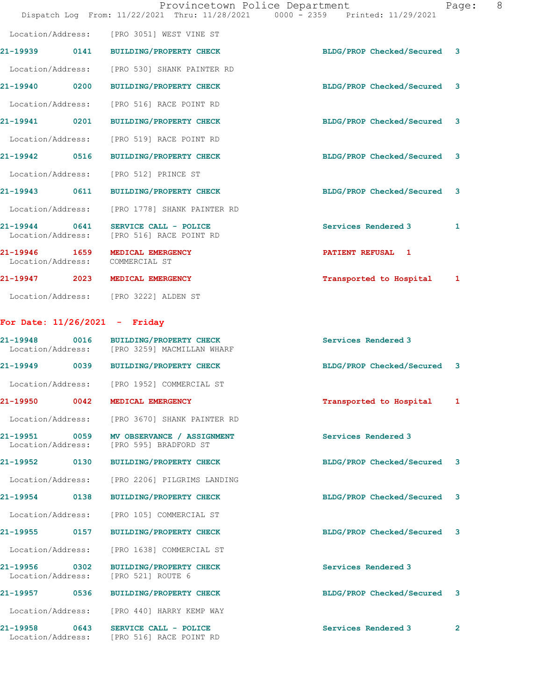|                                   |      | Provincetown Police Department                   | Page:<br>Dispatch Log From: 11/22/2021 Thru: 11/28/2021 0000 - 2359 Printed: 11/29/2021 | 8 |
|-----------------------------------|------|--------------------------------------------------|-----------------------------------------------------------------------------------------|---|
|                                   |      | Location/Address: [PRO 3051] WEST VINE ST        |                                                                                         |   |
|                                   |      | 21-19939 0141 BUILDING/PROPERTY CHECK            | BLDG/PROP Checked/Secured 3                                                             |   |
|                                   |      | Location/Address: [PRO 530] SHANK PAINTER RD     |                                                                                         |   |
| 21-19940 0200                     |      | <b>BUILDING/PROPERTY CHECK</b>                   | BLDG/PROP Checked/Secured 3                                                             |   |
| Location/Address:                 |      | [PRO 516] RACE POINT RD                          |                                                                                         |   |
| 21-19941 0201                     |      | <b>BUILDING/PROPERTY CHECK</b>                   | BLDG/PROP Checked/Secured<br>$\overline{\mathbf{3}}$                                    |   |
|                                   |      | Location/Address: [PRO 519] RACE POINT RD        |                                                                                         |   |
| 21-19942 0516                     |      | <b>BUILDING/PROPERTY CHECK</b>                   | BLDG/PROP Checked/Secured 3                                                             |   |
|                                   |      | Location/Address: [PRO 512] PRINCE ST            |                                                                                         |   |
| 21-19943 0611                     |      | <b>BUILDING/PROPERTY CHECK</b>                   | BLDG/PROP Checked/Secured<br>$\mathbf{3}$                                               |   |
| Location/Address:                 |      | [PRO 1778] SHANK PAINTER RD                      |                                                                                         |   |
| $21 - 19944$<br>Location/Address: | 0641 | SERVICE CALL - POLICE<br>[PRO 516] RACE POINT RD | Services Rendered 3<br>1                                                                |   |
| 21-19946<br>Location/Address:     | 1659 | MEDICAL EMERGENCY<br>COMMERCIAL ST               | PATIENT REFUSAL 1                                                                       |   |
| 21-19947 2023                     |      | MEDICAL EMERGENCY                                | Transported to Hospital<br>1                                                            |   |
| Location/Address:                 |      | [PRO 3222] ALDEN ST                              |                                                                                         |   |

## For Date: 11/26/2021 - Friday

|                                    | 21-19948 0016 BUILDING/PROPERTY CHECK<br>Location/Address: [PRO 3259] MACMILLAN WHARF | Services Rendered 3         |                |
|------------------------------------|---------------------------------------------------------------------------------------|-----------------------------|----------------|
| 21-19949 0039                      | <b>BUILDING/PROPERTY CHECK</b>                                                        | BLDG/PROP Checked/Secured 3 |                |
| Location/Address:                  | [PRO 1952] COMMERCIAL ST                                                              |                             |                |
| 21-19950 0042                      | MEDICAL EMERGENCY                                                                     | Transported to Hospital 1   |                |
| Location/Address:                  | [PRO 3670] SHANK PAINTER RD                                                           |                             |                |
| Location/Address:                  | 21-19951 0059 MV OBSERVANCE / ASSIGNMENT<br>[PRO 595] BRADFORD ST                     | Services Rendered 3         |                |
| 21-19952 0130                      | <b>BUILDING/PROPERTY CHECK</b>                                                        | BLDG/PROP Checked/Secured 3 |                |
| Location/Address:                  | [PRO 2206] PILGRIMS LANDING                                                           |                             |                |
| 21-19954 0138                      | <b>BUILDING/PROPERTY CHECK</b>                                                        | BLDG/PROP Checked/Secured 3 |                |
| Location/Address:                  | [PRO 105] COMMERCIAL ST                                                               |                             |                |
| 21-19955 0157                      | <b>BUILDING/PROPERTY CHECK</b>                                                        | BLDG/PROP Checked/Secured 3 |                |
| Location/Address:                  | [PRO 1638] COMMERCIAL ST                                                              |                             |                |
| 21-19956 0302<br>Location/Address: | <b>BUILDING/PROPERTY CHECK</b><br>[PRO 521] ROUTE 6                                   | Services Rendered 3         |                |
| 21-19957 0536                      | <b>BUILDING/PROPERTY CHECK</b>                                                        | BLDG/PROP Checked/Secured 3 |                |
| Location/Address:                  | [PRO 440] HARRY KEMP WAY                                                              |                             |                |
| 21-19958 0643<br>Location/Address: | SERVICE CALL - POLICE<br>[PRO 516] RACE POINT RD                                      | Services Rendered 3         | $\overline{2}$ |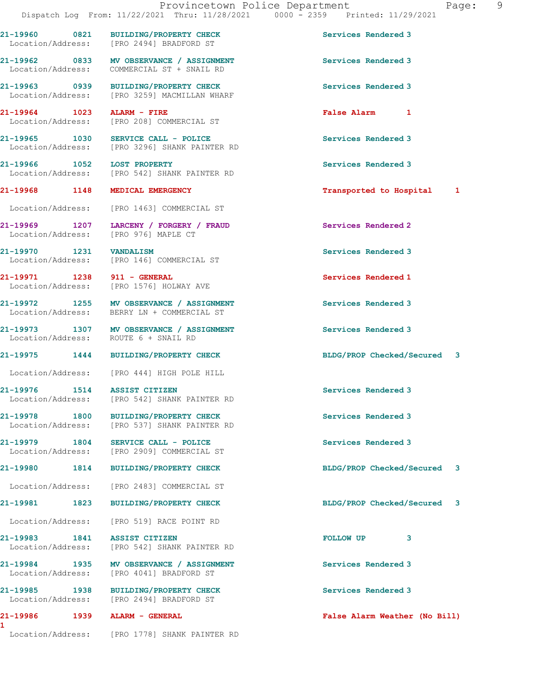1

21-19960 0821 BUILDING/PROPERTY CHECK Services Rendered 3 Location/Address: [PRO 2494] BRADFORD ST

21-19962 0833 MV OBSERVANCE / ASSIGNMENT Services Rendered 3 Location/Address: COMMERCIAL ST + SNAIL RD

21-19963 0939 BUILDING/PROPERTY CHECK Services Rendered 3 Location/Address: [PRO 3259] MACMILLAN WHARF

21-19964 1023 ALARM - FIRE False Alarm 1 [PRO 208] COMMERCIAL ST

21-19965 1030 SERVICE CALL - POLICE Services Rendered 3 Location/Address: [PRO 3296] SHANK PAINTER RD

21-19966 1052 LOST PROPERTY **1000 Services Rendered** 3 Location/Address: [PRO 542] SHANK PAINTER RD

Location/Address: [PRO 1463] COMMERCIAL ST

21-19969 1207 LARCENY / FORGERY / FRAUD Services Rendered 2 Location/Address: [PRO 976] MAPLE CT

21-19970 1231 VANDALISM Services Rendered 3<br>
Location/Address: [PRO 146] COMMERCIAL ST [PRO 146] COMMERCIAL ST

21-19971 1238 911 - GENERAL Services Rendered 1 Location/Address: [PRO 1576] HOLWAY AVE

21-19972 1255 MV OBSERVANCE / ASSIGNMENT Services Rendered 3 Location/Address: BERRY LN + COMMERCIAL ST

21-19973 1307 MV OBSERVANCE / ASSIGNMENT Services Rendered 3 Location/Address: ROUTE 6 + SNAIL RD

Location/Address: [PRO 444] HIGH POLE HILL

21-19976 1514 ASSIST CITIZEN Services Rendered 3 Location/Address: [PRO 542] SHANK PAINTER RD

21-19978 1800 BUILDING/PROPERTY CHECK Services Rendered 3 Location/Address: [PRO 537] SHANK PAINTER RD

21-19979 1804 SERVICE CALL - POLICE SERVICE SERVICE SERVICE SERVICE SERVICE SERVICE SERVICE SERVICE SERVICE S<br>
Services Rendered 3<br>
Location/Address: [PRO 2909] COMMERCIAL ST [PRO 2909] COMMERCIAL ST

Location/Address: [PRO 2483] COMMERCIAL ST

Location/Address: [PRO 519] RACE POINT RD

21-19983 1841 ASSIST CITIZEN FOLLOW UP 3 Location/Address: [PRO 542] SHANK PAINTER RD

21-19984 1935 MV OBSERVANCE / ASSIGNMENT Services Rendered 3 Location/Address: [PRO 4041] BRADFORD ST

21-19985 1938 BUILDING/PROPERTY CHECK Services Rendered 3 Location/Address: [PRO 2494] BRADFORD ST

Location/Address: [PRO 1778] SHANK PAINTER RD

21-19968 1148 MEDICAL EMERGENCY Transported to Hospital 1

21-19975 1444 BUILDING/PROPERTY CHECK BLDG/PROP Checked/Secured 3

21-19980 1814 BUILDING/PROPERTY CHECK BLDG/PROP Checked/Secured 3

21-19981 1823 BUILDING/PROPERTY CHECK BLDG/PROP Checked/Secured 3

21-19986 1939 ALARM - GENERAL False Alarm Weather (No Bill)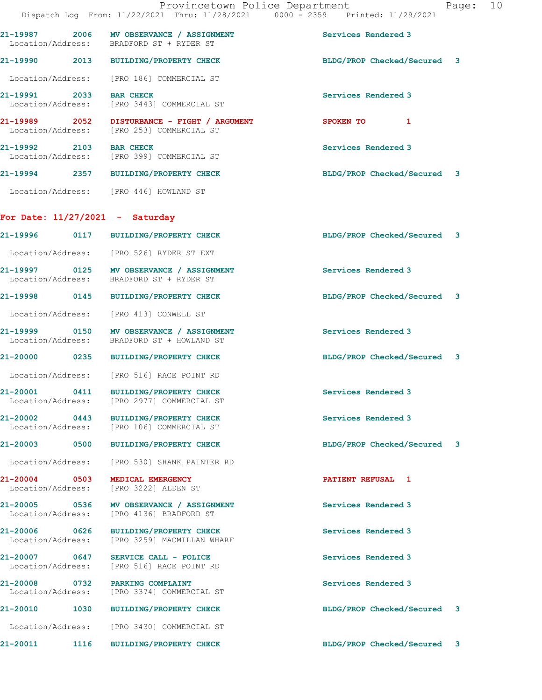|                                        | Provincetown Police Department<br>Dispatch Log From: 11/22/2021 Thru: 11/28/2021 0000 - 2359 Printed: 11/29/2021 |                             | Page: 10 |  |
|----------------------------------------|------------------------------------------------------------------------------------------------------------------|-----------------------------|----------|--|
|                                        | 21-19987 2006 MV OBSERVANCE / ASSIGNMENT<br>Location/Address: BRADFORD ST + RYDER ST                             | Services Rendered 3         |          |  |
|                                        | 21-19990 2013 BUILDING/PROPERTY CHECK                                                                            | BLDG/PROP Checked/Secured 3 |          |  |
|                                        | Location/Address: [PRO 186] COMMERCIAL ST                                                                        |                             |          |  |
| 21-19991 2033 BAR CHECK                | Location/Address: [PRO 3443] COMMERCIAL ST                                                                       | Services Rendered 3         |          |  |
|                                        | 21-19989 2052 DISTURBANCE - FIGHT / ARGUMENT<br>Location/Address: [PRO 253] COMMERCIAL ST                        | SPOKEN TO 1                 |          |  |
| 21-19992 2103 BAR CHECK                | Location/Address: [PRO 399] COMMERCIAL ST                                                                        | Services Rendered 3         |          |  |
|                                        | 21-19994 2357 BUILDING/PROPERTY CHECK                                                                            | BLDG/PROP Checked/Secured 3 |          |  |
| Location/Address: [PRO 446] HOWLAND ST |                                                                                                                  |                             |          |  |
| For Date: $11/27/2021$ - Saturday      |                                                                                                                  |                             |          |  |
|                                        | 21-19996 0117 BUILDING/PROPERTY CHECK                                                                            | BLDG/PROP Checked/Secured 3 |          |  |
|                                        | Location/Address: [PRO 526] RYDER ST EXT                                                                         |                             |          |  |
|                                        | 21-19997 0125 MV OBSERVANCE / ASSIGNMENT<br>Location/Address: BRADFORD ST + RYDER ST                             | Services Rendered 3         |          |  |
|                                        | 21-19998 0145 BUILDING/PROPERTY CHECK                                                                            | BLDG/PROP Checked/Secured 3 |          |  |
| Location/Address: [PRO 413] CONWELL ST |                                                                                                                  |                             |          |  |
|                                        | 21-19999 0150 MV OBSERVANCE / ASSIGNMENT<br>Location/Address: BRADFORD ST + HOWLAND ST                           | Services Rendered 3         |          |  |
|                                        | 21-20000 0235 BUILDING/PROPERTY CHECK                                                                            | BLDG/PROP Checked/Secured 3 |          |  |
|                                        | Location/Address: [PRO 516] RACE POINT RD                                                                        |                             |          |  |
| Location/Address:                      | 21-20001 0411 BUILDING/PROPERTY CHECK<br>[PRO 2977] COMMERCIAL ST                                                | Services Rendered 3         |          |  |
| 21-20002 0443                          | <b>BUILDING/PROPERTY CHECK</b><br>Location/Address: [PRO 106] COMMERCIAL ST                                      | Services Rendered 3         |          |  |
|                                        | <b>BUILDING/PROPERTY CHECK</b>                                                                                   | BLDG/PROP Checked/Secured 3 |          |  |
| Location/Address:                      | [PRO 530] SHANK PAINTER RD                                                                                       |                             |          |  |
| 21-20004 0503<br>Location/Address:     | MEDICAL EMERGENCY<br>[PRO 3222] ALDEN ST                                                                         | PATIENT REFUSAL 1           |          |  |
|                                        | 21-20005 0536 MV OBSERVANCE / ASSIGNMENT<br>Location/Address: [PRO 4136] BRADFORD ST                             | Services Rendered 3         |          |  |
| 21-20006 0626<br>Location/Address:     | BUILDING/PROPERTY CHECK<br>[PRO 3259] MACMILLAN WHARF                                                            | Services Rendered 3         |          |  |
| 21-20007 0647<br>Location/Address:     | SERVICE CALL - POLICE<br>[PRO 516] RACE POINT RD                                                                 | Services Rendered 3         |          |  |
| 21-20008 0732<br>Location/Address:     | PARKING COMPLAINT<br>[PRO 3374] COMMERCIAL ST                                                                    | Services Rendered 3         |          |  |
| 21-20010                               | 1030 BUILDING/PROPERTY CHECK                                                                                     | BLDG/PROP Checked/Secured 3 |          |  |
|                                        | Location/Address: [PRO 3430] COMMERCIAL ST                                                                       |                             |          |  |

21-20011 1116 BUILDING/PROPERTY CHECK BLDG/PROP Checked/Secured 3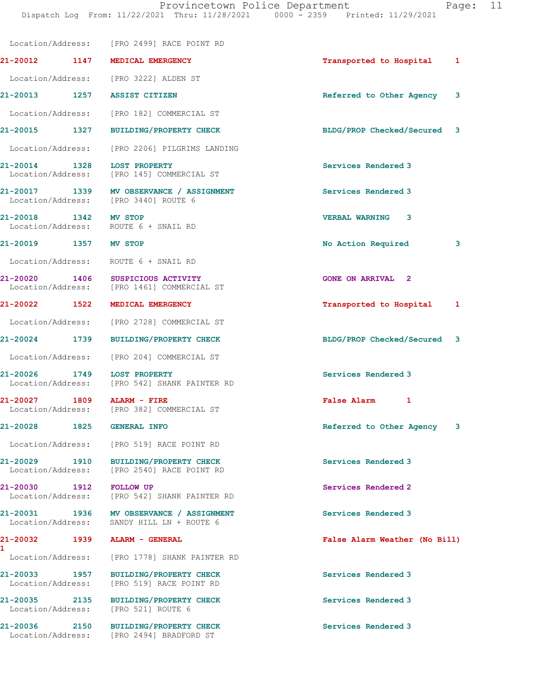|                                              |      | Location/Address: [PRO 2499] RACE POINT RD                                            |                               |   |
|----------------------------------------------|------|---------------------------------------------------------------------------------------|-------------------------------|---|
|                                              |      | 21-20012 1147 MEDICAL EMERGENCY                                                       | Transported to Hospital       | 1 |
|                                              |      | Location/Address: [PRO 3222] ALDEN ST                                                 |                               |   |
|                                              |      | 21-20013 1257 ASSIST CITIZEN                                                          | Referred to Other Agency      | 3 |
|                                              |      | Location/Address: [PRO 182] COMMERCIAL ST                                             |                               |   |
|                                              |      | 21-20015 1327 BUILDING/PROPERTY CHECK                                                 | BLDG/PROP Checked/Secured 3   |   |
|                                              |      | Location/Address: [PRO 2206] PILGRIMS LANDING                                         |                               |   |
|                                              |      | 21-20014 1328 LOST PROPERTY<br>Location/Address: [PRO 145] COMMERCIAL ST              | Services Rendered 3           |   |
|                                              |      | 21-20017 1339 MV OBSERVANCE / ASSIGNMENT<br>Location/Address: [PRO 3440] ROUTE 6      | Services Rendered 3           |   |
| 21-20018 1342 MV STOP                        |      | Location/Address: ROUTE 6 + SNAIL RD                                                  | <b>VERBAL WARNING</b><br>3    |   |
| 21-20019 1357 MV STOP                        |      |                                                                                       | No Action Required            | 3 |
|                                              |      | Location/Address: ROUTE 6 + SNAIL RD                                                  |                               |   |
|                                              |      | 21-20020 1406 SUSPICIOUS ACTIVITY<br>Location/Address: [PRO 1461] COMMERCIAL ST       | <b>GONE ON ARRIVAL 2</b>      |   |
|                                              |      | 21-20022 1522 MEDICAL EMERGENCY                                                       | Transported to Hospital       | 1 |
|                                              |      | Location/Address: [PRO 2728] COMMERCIAL ST                                            |                               |   |
|                                              |      | 21-20024 1739 BUILDING/PROPERTY CHECK                                                 | BLDG/PROP Checked/Secured     | 3 |
|                                              |      | Location/Address: [PRO 204] COMMERCIAL ST                                             |                               |   |
| 21-20026 1749                                |      | LOST PROPERTY<br>Location/Address: [PRO 542] SHANK PAINTER RD                         | Services Rendered 3           |   |
| 21-20027 1809                                |      | <b>ALARM - FIRE</b><br>Location/Address: [PRO 382] COMMERCIAL ST                      | False Alarm 1                 |   |
| 21-20028                                     | 1825 | <b>GENERAL INFO</b>                                                                   | Referred to Other Agency      | 3 |
|                                              |      | Location/Address: [PRO 519] RACE POINT RD                                             |                               |   |
| 21-20029 1910<br>Location/Address:           |      | <b>BUILDING/PROPERTY CHECK</b><br>[PRO 2540] RACE POINT RD                            | Services Rendered 3           |   |
| 21-20030 1912 FOLLOW UP<br>Location/Address: |      | [PRO 542] SHANK PAINTER RD                                                            | Services Rendered 2           |   |
|                                              |      | 21-20031 1936 MV OBSERVANCE / ASSIGNMENT<br>Location/Address: SANDY HILL LN + ROUTE 6 | Services Rendered 3           |   |
| 21-20032<br>$\mathbf{1}$                     | 1939 | ALARM - GENERAL                                                                       | False Alarm Weather (No Bill) |   |
| Location/Address:                            |      | [PRO 1778] SHANK PAINTER RD                                                           |                               |   |
| 21-20033 1957<br>Location/Address:           |      | <b>BUILDING/PROPERTY CHECK</b><br>[PRO 519] RACE POINT RD                             | Services Rendered 3           |   |
| 21-20035 2135<br>Location/Address:           |      | <b>BUILDING/PROPERTY CHECK</b><br>[PRO 521] ROUTE 6                                   | Services Rendered 3           |   |
| 21-20036 2150                                |      | <b>BUILDING/PROPERTY CHECK</b><br>Location/Address: [PRO 2494] BRADFORD ST            | Services Rendered 3           |   |
|                                              |      |                                                                                       |                               |   |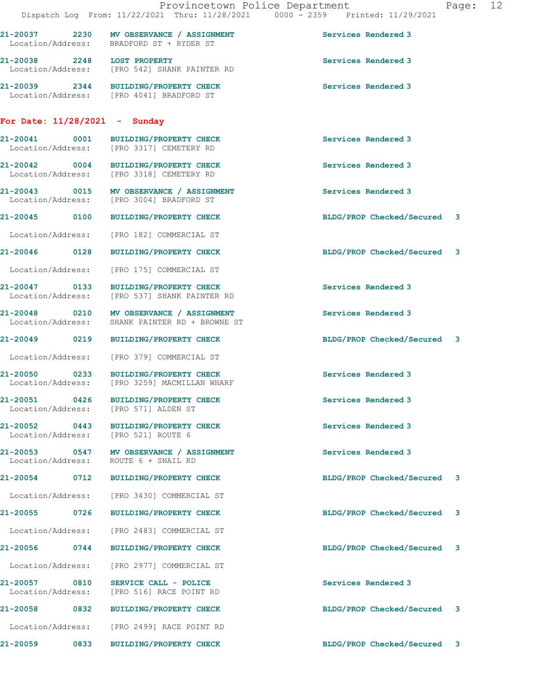|                                    |      | Provincetown Police Department<br>Dispatch Log From: 11/22/2021 Thru: 11/28/2021 0000 - 2359 Printed: 11/29/2021 |                             | Page: 12 |  |
|------------------------------------|------|------------------------------------------------------------------------------------------------------------------|-----------------------------|----------|--|
|                                    |      | 21-20037 2230 MV OBSERVANCE / ASSIGNMENT<br>Location/Address: BRADFORD ST + RYDER ST                             | Services Rendered 3         |          |  |
| 21-20038 2248 LOST PROPERTY        |      | Location/Address: [PRO 542] SHANK PAINTER RD                                                                     | Services Rendered 3         |          |  |
|                                    |      | 21-20039 2344 BUILDING/PROPERTY CHECK<br>Location/Address: [PRO 4041] BRADFORD ST                                | Services Rendered 3         |          |  |
| For Date: $11/28/2021$ - Sunday    |      |                                                                                                                  |                             |          |  |
|                                    |      | 21-20041 0001 BUILDING/PROPERTY CHECK<br>Location/Address: [PRO 3317] CEMETERY RD                                | Services Rendered 3         |          |  |
|                                    |      | 21-20042 0004 BUILDING/PROPERTY CHECK<br>Location/Address: [PRO 3318] CEMETERY RD                                | Services Rendered 3         |          |  |
|                                    |      | 21-20043 0015 MV OBSERVANCE / ASSIGNMENT<br>Location/Address: [PRO 3004] BRADFORD ST                             | Services Rendered 3         |          |  |
|                                    |      | 21-20045 0100 BUILDING/PROPERTY CHECK                                                                            | BLDG/PROP Checked/Secured 3 |          |  |
|                                    |      | Location/Address: [PRO 182] COMMERCIAL ST                                                                        |                             |          |  |
|                                    |      | 21-20046 0128 BUILDING/PROPERTY CHECK                                                                            | BLDG/PROP Checked/Secured 3 |          |  |
|                                    |      | Location/Address: [PRO 175] COMMERCIAL ST                                                                        |                             |          |  |
|                                    |      | 21-20047 0133 BUILDING/PROPERTY CHECK<br>Location/Address: [PRO 537] SHANK PAINTER RD                            | Services Rendered 3         |          |  |
|                                    |      | 21-20048 0210 MV OBSERVANCE / ASSIGNMENT<br>Location/Address: SHANK PAINTER RD + BROWNE ST                       | Services Rendered 3         |          |  |
|                                    |      | 21-20049 0219 BUILDING/PROPERTY CHECK                                                                            | BLDG/PROP Checked/Secured 3 |          |  |
|                                    |      | Location/Address: [PRO 379] COMMERCIAL ST                                                                        |                             |          |  |
|                                    |      | 21-20050 0233 BUILDING/PROPERTY CHECK<br>Location/Address: [PRO 3259] MACMILLAN WHARF                            | Services Rendered 3         |          |  |
| 21-20051 0426<br>Location/Address: |      | <b>BUILDING/PROPERTY CHECK</b><br>[PRO 571] ALDEN ST                                                             | Services Rendered 3         |          |  |
| 21-20052 0443                      |      | BUILDING/PROPERTY CHECK<br>Location/Address: [PRO 521] ROUTE 6                                                   | Services Rendered 3         |          |  |
| Location/Address:                  |      | 21-20053 0547 MV OBSERVANCE / ASSIGNMENT<br>ROUTE 6 + SNAIL RD                                                   | Services Rendered 3         |          |  |
|                                    |      | 21-20054 0712 BUILDING/PROPERTY CHECK                                                                            | BLDG/PROP Checked/Secured 3 |          |  |
| Location/Address:                  |      | [PRO 3430] COMMERCIAL ST                                                                                         |                             |          |  |
| 21-20055 0726                      |      | BUILDING/PROPERTY CHECK                                                                                          | BLDG/PROP Checked/Secured 3 |          |  |
| Location/Address:                  |      | [PRO 2483] COMMERCIAL ST                                                                                         |                             |          |  |
| 21-20056                           | 0744 | <b>BUILDING/PROPERTY CHECK</b>                                                                                   | BLDG/PROP Checked/Secured 3 |          |  |
| Location/Address:                  |      | [PRO 2977] COMMERCIAL ST                                                                                         |                             |          |  |
| 21-20057 0810<br>Location/Address: |      | SERVICE CALL - POLICE<br>[PRO 516] RACE POINT RD                                                                 | Services Rendered 3         |          |  |
|                                    |      | 21-20058 0832 BUILDING/PROPERTY CHECK                                                                            | BLDG/PROP Checked/Secured 3 |          |  |
|                                    |      | Location/Address: [PRO 2499] RACE POINT RD                                                                       |                             |          |  |
| 21-20059                           | 0833 | <b>BUILDING/PROPERTY CHECK</b>                                                                                   | BLDG/PROP Checked/Secured   | 3        |  |